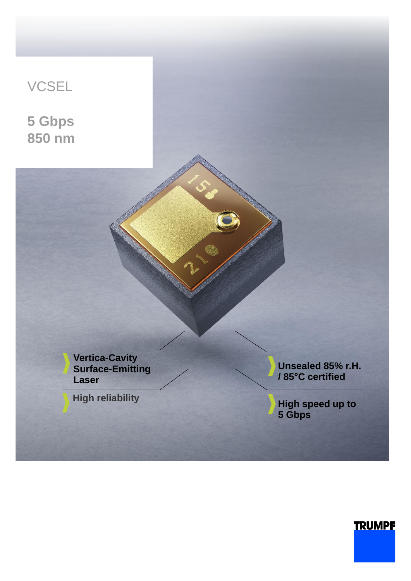

## **TRUMPF**